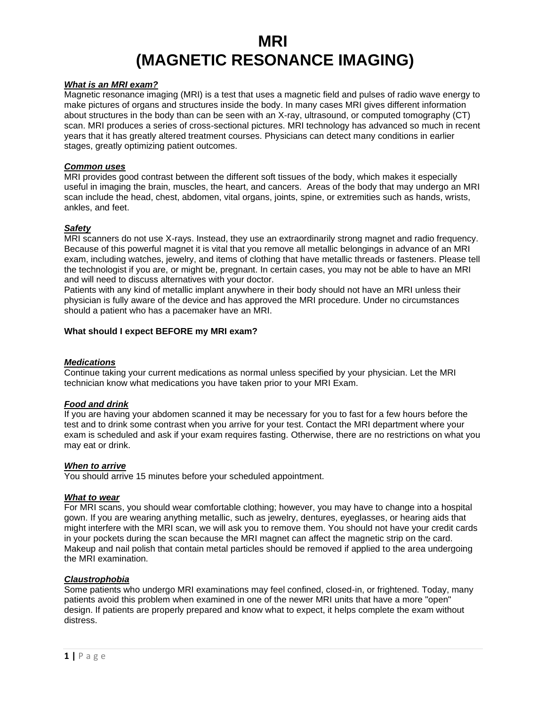# **MRI (MAGNETIC RESONANCE IMAGING)**

#### *What is an MRI exam?*

Magnetic resonance imaging (MRI) is a test that uses a magnetic field and pulses of radio wave energy to make pictures of organs and structures inside the body. In many cases MRI gives different information about structures in the body than can be seen with an X-ray, ultrasound, or computed tomography (CT) scan. MRI produces a series of cross-sectional pictures. MRI technology has advanced so much in recent years that it has greatly altered treatment courses. Physicians can detect many conditions in earlier stages, greatly optimizing patient outcomes.

#### *Common uses*

MRI provides good contrast between the different soft tissues of the body, which makes it especially useful in imaging the brain, muscles, the heart, and cancers. Areas of the body that may undergo an MRI scan include the head, chest, abdomen, vital organs, joints, spine, or extremities such as hands, wrists, ankles, and feet.

#### *Safety*

MRI scanners do not use X-rays. Instead, they use an extraordinarily strong magnet and radio frequency. Because of this powerful magnet it is vital that you remove all metallic belongings in advance of an MRI exam, including watches, jewelry, and items of clothing that have metallic threads or fasteners. Please tell the technologist if you are, or might be, pregnant. In certain cases, you may not be able to have an MRI and will need to discuss alternatives with your doctor.

Patients with any kind of metallic implant anywhere in their body should not have an MRI unless their physician is fully aware of the device and has approved the MRI procedure. Under no circumstances should a patient who has a pacemaker have an MRI.

#### **What should I expect BEFORE my MRI exam?**

## *Medications*

Continue taking your current medications as normal unless specified by your physician. Let the MRI technician know what medications you have taken prior to your MRI Exam.

## *Food and drink*

If you are having your abdomen scanned it may be necessary for you to fast for a few hours before the test and to drink some contrast when you arrive for your test. Contact the MRI department where your exam is scheduled and ask if your exam requires fasting. Otherwise, there are no restrictions on what you may eat or drink.

#### *When to arrive*

You should arrive 15 minutes before your scheduled appointment.

#### *What to wear*

For MRI scans, you should wear comfortable clothing; however, you may have to change into a hospital gown. If you are wearing anything metallic, such as jewelry, dentures, eyeglasses, or hearing aids that might interfere with the MRI scan, we will ask you to remove them. You should not have your credit cards in your pockets during the scan because the MRI magnet can affect the magnetic strip on the card. Makeup and nail polish that contain metal particles should be removed if applied to the area undergoing the MRI examination.

#### *Claustrophobia*

Some patients who undergo MRI examinations may feel confined, closed-in, or frightened. Today, many patients avoid this problem when examined in one of the newer MRI units that have a more "open" design. If patients are properly prepared and know what to expect, it helps complete the exam without distress.